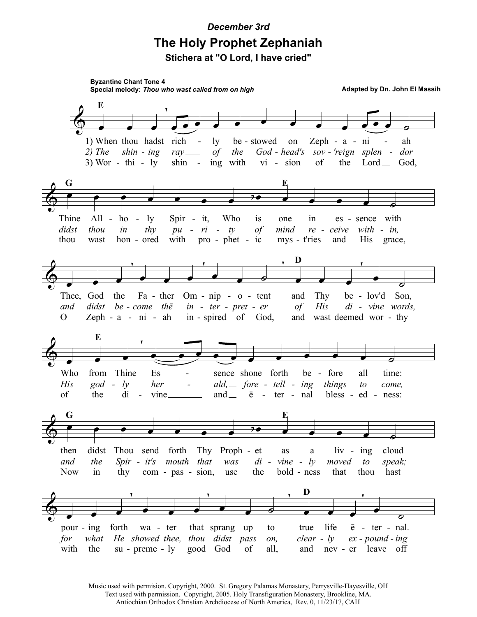## December 3rd **The Holy Prophet Zephaniah** Stichera at "O Lord, I have cried"

**Byzantine Chant Tone 4** Special melody: Thou who wast called from on high Adapted by Dn. John El Massih E 1) When thou hadst be - stowed Zeph -  $a$ rich ly on  $\overline{\text{ni}}$ ah  $2)$  The  $shin - ing$  $\int$ the  $God$  - head's sov - 'reign splen dor rav.  $3)$  Wor - thi - ly with vi - sion the shin  $\overline{\phantom{a}}$  $ing$ of  $Lord \_\_$  God, G E Thine  $All$ ho Spir - it, Who  $-1y$  $is$ one  $in$ es - sence with didst  $-ri$ thou  $thv$ with - in, in  $pu$  $\overline{a}$  $t\nu$ of mind re - ceive thou wast hon - ored with pro - phet - ic mys - t'ries and **His** grace, D Thee, God the  $Om - nip - o - tent$ be - lov'd Son, Fa - ther Thy and didst be - come the  $in - ter - pret - er$  $\circ f$ His di - vine words, and Zeph - a - ni - ah in - spired of God, wast deemed wor - thy  $\Omega$ and E Who Es from Thine sence shone forth be - fore all time: His  $\text{god}$   $l\mathcal{V}$ her ald,  $\equiv$  fore - tell - ing things come,  $to$ of the di vine. and  $\equiv$  $\bar{e}$  - ter - nal bless - ed - ness: G E didst cloud then Thou send forth Thy Proph - et  $\lim$   $ing$ as  $\mathbf{a}$ and the Spir - it's mouth that was  $di - vine - ly$ moved  $to$ speak; **Now** bold - ness  $in$ thy  $com - pas - sion,$ the that thou hast use D life  $pour - ing$ forth wa - ter that sprang  $\bar{e}$  - ter - nal. up to true for what He showed thee, thou didst pass  $clear - ly$  $ex$  - pound - ing on, with the  $su - preme - ly$ good God of all, and nev - er leave off

> Music used with permision. Copyright, 2000. St. Gregory Palamas Monastery, Perrysville-Hayesville, OH Text used with permission. Copyright, 2005. Holy Transfiguration Monastery, Brookline, MA. Antiochian Orthodox Christian Archdiocese of North America, Rev. 0, 11/23/17, CAH